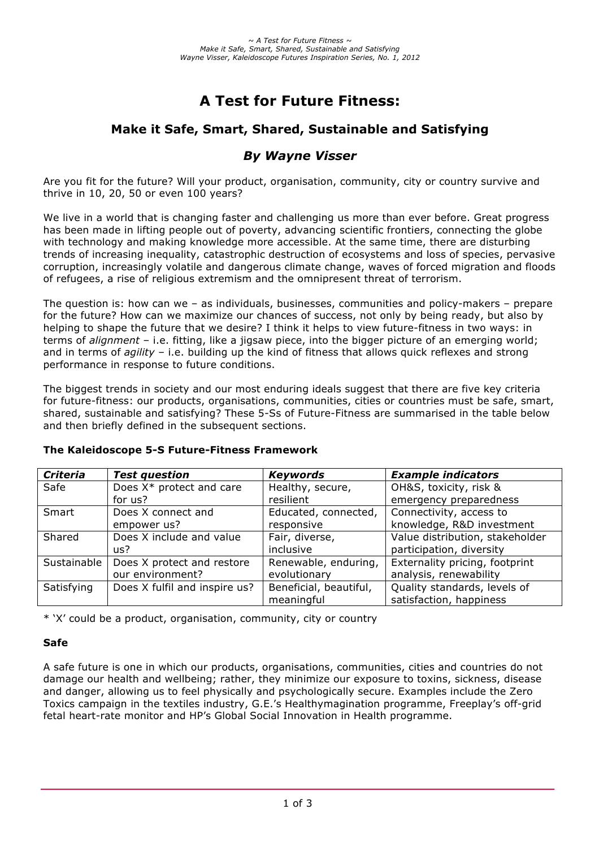# **A Test for Future Fitness:**

# **Make it Safe, Smart, Shared, Sustainable and Satisfying**

# *By Wayne Visser*

Are you fit for the future? Will your product, organisation, community, city or country survive and thrive in 10, 20, 50 or even 100 years?

We live in a world that is changing faster and challenging us more than ever before. Great progress has been made in lifting people out of poverty, advancing scientific frontiers, connecting the globe with technology and making knowledge more accessible. At the same time, there are disturbing trends of increasing inequality, catastrophic destruction of ecosystems and loss of species, pervasive corruption, increasingly volatile and dangerous climate change, waves of forced migration and floods of refugees, a rise of religious extremism and the omnipresent threat of terrorism.

The question is: how can we – as individuals, businesses, communities and policy-makers – prepare for the future? How can we maximize our chances of success, not only by being ready, but also by helping to shape the future that we desire? I think it helps to view future-fitness in two ways: in terms of *alignment* – i.e. fitting, like a jigsaw piece, into the bigger picture of an emerging world; and in terms of *agility* – i.e. building up the kind of fitness that allows quick reflexes and strong performance in response to future conditions.

The biggest trends in society and our most enduring ideals suggest that there are five key criteria for future-fitness: our products, organisations, communities, cities or countries must be safe, smart, shared, sustainable and satisfying? These 5-Ss of Future-Fitness are summarised in the table below and then briefly defined in the subsequent sections.

| <b>Criteria</b> | <b>Test question</b>          | <b>Keywords</b>        | <b>Example indicators</b>       |
|-----------------|-------------------------------|------------------------|---------------------------------|
| Safe            | Does X* protect and care      | Healthy, secure,       | OH&S, toxicity, risk &          |
|                 | for us?                       | resilient              | emergency preparedness          |
| Smart           | Does X connect and            | Educated, connected,   | Connectivity, access to         |
|                 | empower us?                   | responsive             | knowledge, R&D investment       |
| Shared          | Does X include and value      | Fair, diverse,         | Value distribution, stakeholder |
|                 | us?                           | inclusive              | participation, diversity        |
| Sustainable     | Does X protect and restore    | Renewable, enduring,   | Externality pricing, footprint  |
|                 | our environment?              | evolutionary           | analysis, renewability          |
| Satisfying      | Does X fulfil and inspire us? | Beneficial, beautiful, | Quality standards, levels of    |
|                 |                               | meaningful             | satisfaction, happiness         |

# **The Kaleidoscope 5-S Future-Fitness Framework**

\* 'X' could be a product, organisation, community, city or country

# **Safe**

A safe future is one in which our products, organisations, communities, cities and countries do not damage our health and wellbeing; rather, they minimize our exposure to toxins, sickness, disease and danger, allowing us to feel physically and psychologically secure. Examples include the Zero Toxics campaign in the textiles industry, G.E.'s Healthymagination programme, Freeplay's off-grid fetal heart-rate monitor and HP's Global Social Innovation in Health programme.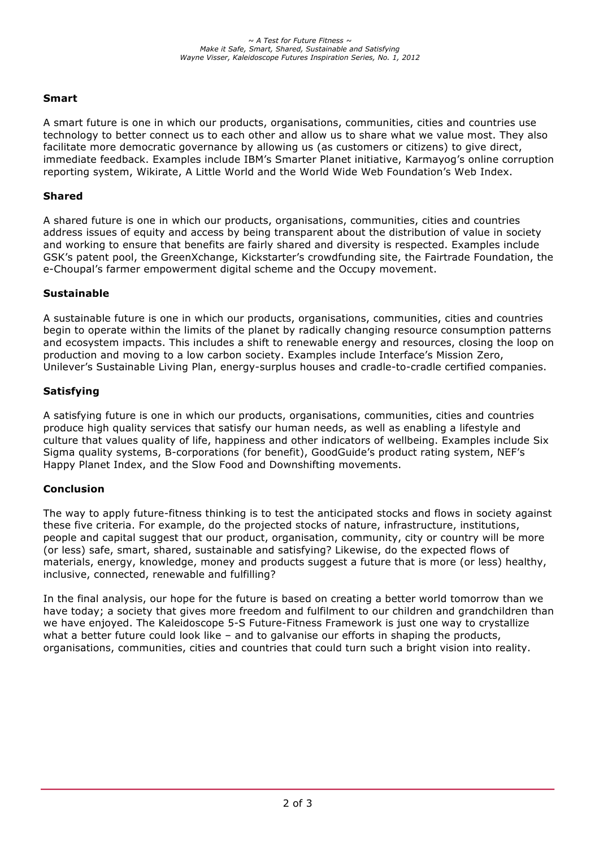# **Smart**

A smart future is one in which our products, organisations, communities, cities and countries use technology to better connect us to each other and allow us to share what we value most. They also facilitate more democratic governance by allowing us (as customers or citizens) to give direct, immediate feedback. Examples include IBM's Smarter Planet initiative, Karmayog's online corruption reporting system, Wikirate, A Little World and the World Wide Web Foundation's Web Index.

#### **Shared**

A shared future is one in which our products, organisations, communities, cities and countries address issues of equity and access by being transparent about the distribution of value in society and working to ensure that benefits are fairly shared and diversity is respected. Examples include GSK's patent pool, the GreenXchange, Kickstarter's crowdfunding site, the Fairtrade Foundation, the e-Choupal's farmer empowerment digital scheme and the Occupy movement.

#### **Sustainable**

A sustainable future is one in which our products, organisations, communities, cities and countries begin to operate within the limits of the planet by radically changing resource consumption patterns and ecosystem impacts. This includes a shift to renewable energy and resources, closing the loop on production and moving to a low carbon society. Examples include Interface's Mission Zero, Unilever's Sustainable Living Plan, energy-surplus houses and cradle-to-cradle certified companies.

#### **Satisfying**

A satisfying future is one in which our products, organisations, communities, cities and countries produce high quality services that satisfy our human needs, as well as enabling a lifestyle and culture that values quality of life, happiness and other indicators of wellbeing. Examples include Six Sigma quality systems, B-corporations (for benefit), GoodGuide's product rating system, NEF's Happy Planet Index, and the Slow Food and Downshifting movements.

# **Conclusion**

The way to apply future-fitness thinking is to test the anticipated stocks and flows in society against these five criteria. For example, do the projected stocks of nature, infrastructure, institutions, people and capital suggest that our product, organisation, community, city or country will be more (or less) safe, smart, shared, sustainable and satisfying? Likewise, do the expected flows of materials, energy, knowledge, money and products suggest a future that is more (or less) healthy, inclusive, connected, renewable and fulfilling?

In the final analysis, our hope for the future is based on creating a better world tomorrow than we have today; a society that gives more freedom and fulfilment to our children and grandchildren than we have enjoyed. The Kaleidoscope 5-S Future-Fitness Framework is just one way to crystallize what a better future could look like – and to galvanise our efforts in shaping the products, organisations, communities, cities and countries that could turn such a bright vision into reality.